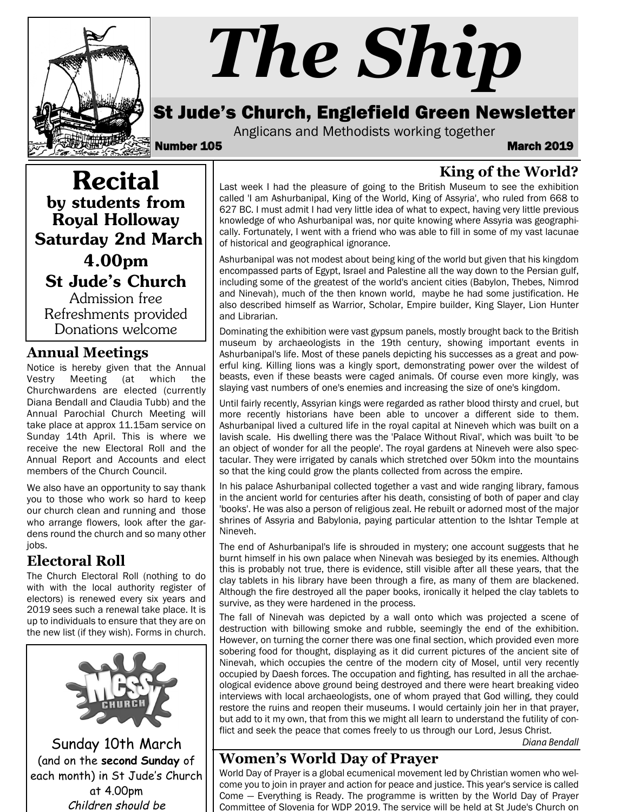

# *The Ship*

# St Jude's Church, Englefield Green Newsletter

Anglicans and Methodists working together

Number 105 March 2019

## **King of the World?**

Recital by students from Royal Holloway Saturday 2nd March 4.00pm St Jude's Church Admission free

Refreshments provided Donations welcome

#### **Annual Meetings**

Notice is hereby given that the Annual Vestry Meeting (at which the Churchwardens are elected (currently Diana Bendall and Claudia Tubb) and the Annual Parochial Church Meeting will take place at approx 11.15am service on Sunday 14th April. This is where we receive the new Electoral Roll and the Annual Report and Accounts and elect members of the Church Council.

We also have an opportunity to say thank you to those who work so hard to keep our church clean and running and those who arrange flowers, look after the gardens round the church and so many other jobs.

#### **Electoral Roll**

The Church Electoral Roll (nothing to do with with the local authority register of electors) is renewed every six years and 2019 sees such a renewal take place. It is up to individuals to ensure that they are on the new list (if they wish). Forms in church.



Sunday 10th March (and on the **second Sunday** of each month) in St Jude's Church at 4.00pm Children should be

Last week I had the pleasure of going to the British Museum to see the exhibition called 'I am Ashurbanipal, King of the World, King of Assyria', who ruled from 668 to 627 BC. I must admit I had very little idea of what to expect, having very little previous knowledge of who Ashurbanipal was, nor quite knowing where Assyria was geographically. Fortunately, I went with a friend who was able to fill in some of my vast lacunae of historical and geographical ignorance.

Ashurbanipal was not modest about being king of the world but given that his kingdom encompassed parts of Egypt, Israel and Palestine all the way down to the Persian gulf, including some of the greatest of the world's ancient cities (Babylon, Thebes, Nimrod and Ninevah), much of the then known world, maybe he had some justification. He also described himself as Warrior, Scholar, Empire builder, King Slayer, Lion Hunter and Librarian.

Dominating the exhibition were vast gypsum panels, mostly brought back to the British museum by archaeologists in the 19th century, showing important events in Ashurbanipal's life. Most of these panels depicting his successes as a great and powerful king. Killing lions was a kingly sport, demonstrating power over the wildest of beasts, even if these beasts were caged animals. Of course even more kingly, was slaying vast numbers of one's enemies and increasing the size of one's kingdom.

Until fairly recently, Assyrian kings were regarded as rather blood thirsty and cruel, but more recently historians have been able to uncover a different side to them. Ashurbanipal lived a cultured life in the royal capital at Nineveh which was built on a lavish scale. His dwelling there was the 'Palace Without Rival', which was built 'to be an object of wonder for all the people'. The royal gardens at Nineveh were also spectacular. They were irrigated by canals which stretched over 50km into the mountains so that the king could grow the plants collected from across the empire.

In his palace Ashurbanipal collected together a vast and wide ranging library, famous in the ancient world for centuries after his death, consisting of both of paper and clay 'books'. He was also a person of religious zeal. He rebuilt or adorned most of the major shrines of Assyria and Babylonia, paying particular attention to the Ishtar Temple at Nineveh.

The end of Ashurbanipal's life is shrouded in mystery; one account suggests that he burnt himself in his own palace when Ninevah was besieged by its enemies. Although this is probably not true, there is evidence, still visible after all these years, that the clay tablets in his library have been through a fire, as many of them are blackened. Although the fire destroyed all the paper books, ironically it helped the clay tablets to survive, as they were hardened in the process.

The fall of Ninevah was depicted by a wall onto which was projected a scene of destruction with billowing smoke and rubble, seemingly the end of the exhibition. However, on turning the corner there was one final section, which provided even more sobering food for thought, displaying as it did current pictures of the ancient site of Ninevah, which occupies the centre of the modern city of Mosel, until very recently occupied by Daesh forces. The occupation and fighting, has resulted in all the archaeological evidence above ground being destroyed and there were heart breaking video interviews with local archaeologists, one of whom prayed that God willing, they could restore the ruins and reopen their museums. I would certainly join her in that prayer, but add to it my own, that from this we might all learn to understand the futility of conflict and seek the peace that comes freely to us through our Lord, Jesus Christ.

*Diana Bendall*

#### **Women's World Day of Prayer**

World Day of Prayer is a global ecumenical movement led by Christian women who welcome you to join in prayer and action for peace and justice. This year's service is called Come — Everything is Ready. The programme is written by the World Day of Prayer Committee of Slovenia for WDP 2019. The service will be held at St Jude's Church on